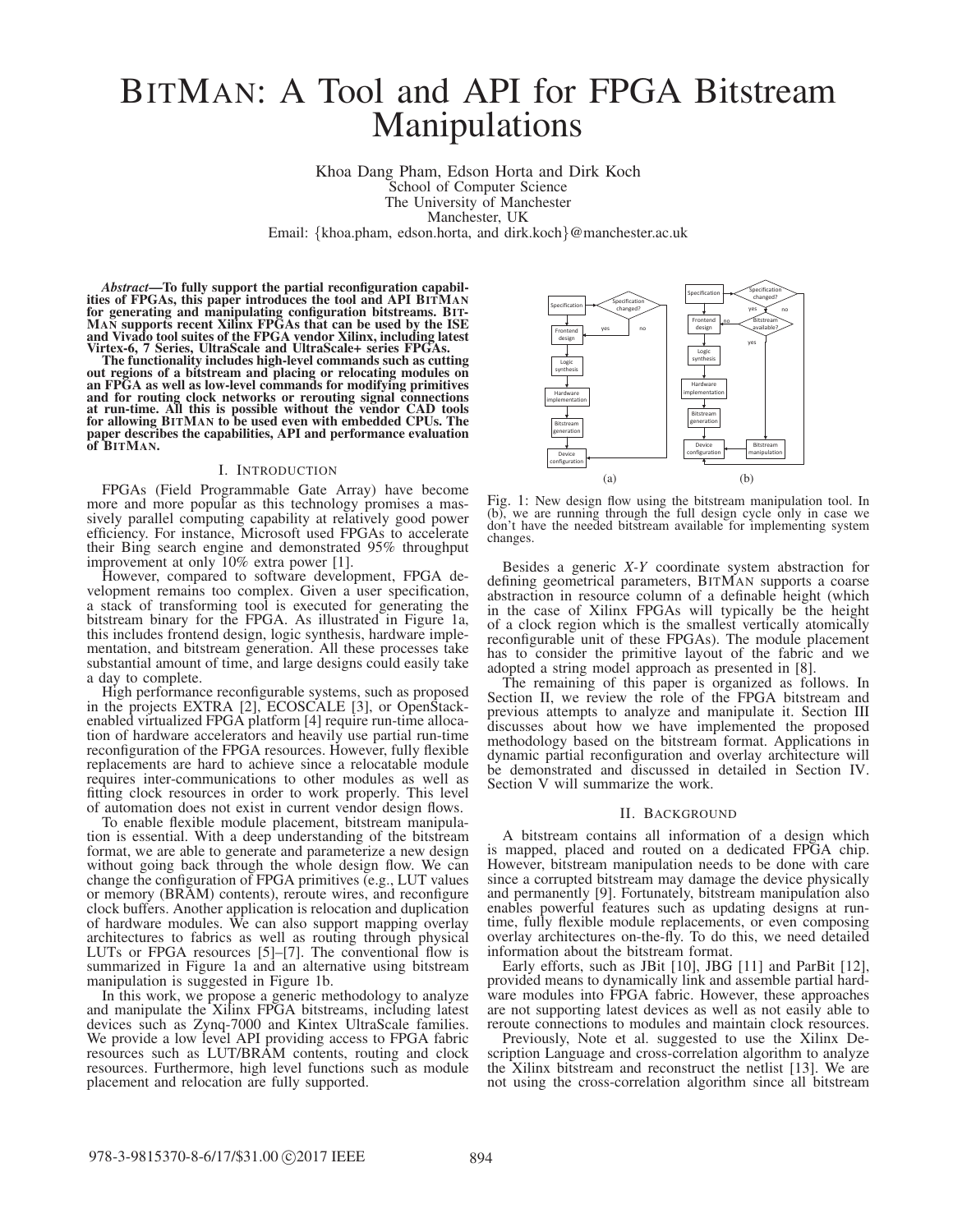# BITMAN: A Tool and API for FPGA Bitstream Manipulations

Khoa Dang Pham, Edson Horta and Dirk Koch School of Computer Science The University of Manchester Manchester, UK

Email: {khoa.pham, edson.horta, and dirk.koch}@manchester.ac.uk

*Abstract*—To fully support the partial reconfiguration capabil- ities of FPGAs, this paper introduces the tool and API BITMAN for generating and manipulating configuration bitstreams. BIT- MAN supports recent Xilinx FPGAs that can be used by the ISE and Vivado tool suites of the FPGA vendor Xilinx, including latest

Virtex-6, 7 Series, UltraScale and UltraScale+ series FPGAs. out regions of a bitstream and placing or relocating modules on an FPGA as well as low-level commands for modifying primitives and for routing clock networks or rerouting signal connections at run-time. All this is possible without the vendor CAD tools for allowing BITMAN to be used even with embedded CPUs. The paper describes the capabilities, API and performance evaluation of BITMAN.

#### I. INTRODUCTION

FPGAs (Field Programmable Gate Array) have become more and more popular as this technology promises a massively parallel computing capability at relatively good power efficiency. For instance, Microsoft used FPGAs to accelerate their Bing search engine and demonstrated 95% throughput improvement at only 10% extra power [1].

However, compared to software development, FPGA development remains too complex. Given a user specification, a stack of transforming tool is executed for generating the bitstream binary for the FPGA. As illustrated in Figure 1a, this includes frontend design, logic synthesis, hardware implementation, and bitstream generation. All these processes take substantial amount of time, and large designs could easily take a day to complete.

High performance reconfigurable systems, such as proposed in the projects EXTRA [2], ECOSCALE [3], or OpenStackenabled virtualized FPGA platform [4] require run-time allocation of hardware accelerators and heavily use partial run-time reconfiguration of the FPGA resources. However, fully flexible replacements are hard to achieve since a relocatable module requires inter-communications to other modules as well as fitting clock resources in order to work properly. This level of automation does not exist in current vendor design flows.

To enable flexible module placement, bitstream manipulation is essential. With a deep understanding of the bitstream format, we are able to generate and parameterize a new design without going back through the whole design flow. We can change the configuration of FPGA primitives (e.g., LUT values or memory (BRAM) contents), reroute wires, and reconfigure clock buffers. Another application is relocation and duplication of hardware modules. We can also support mapping overlay architectures to fabrics as well as routing through physical LUTs or FPGA resources [5]–[7]. The conventional flow is summarized in Figure 1a and an alternative using bitstream manipulation is suggested in Figure 1b.

In this work, we propose a generic methodology to analyze and manipulate the Xilinx FPGA bitstreams, including latest devices such as Zynq-7000 and Kintex UltraScale families. We provide a low level API providing access to FPGA fabric resources such as LUT/BRAM contents, routing and clock resources. Furthermore, high level functions such as module placement and relocation are fully supported.



Fig. 1: New design flow using the bitstream manipulation tool. In (b), we are running through the full design cycle only in case we don't have the needed bitstream available for implementing system changes.

Besides a generic *X-Y* coordinate system abstraction for defining geometrical parameters, BITMAN supports a coarse abstraction in resource column of a definable height (which in the case of Xilinx FPGAs will typically be the height of a clock region which is the smallest vertically atomically reconfigurable unit of these FPGAs). The module placement has to consider the primitive layout of the fabric and we adopted a string model approach as presented in [8].

The remaining of this paper is organized as follows. In Section II, we review the role of the FPGA bitstream and previous attempts to analyze and manipulate it. Section III discusses about how we have implemented the proposed methodology based on the bitstream format. Applications in dynamic partial reconfiguration and overlay architecture will be demonstrated and discussed in detailed in Section IV. Section V will summarize the work.

#### II. BACKGROUND

A bitstream contains all information of a design which is mapped, placed and routed on a dedicated FPGA chip. However, bitstream manipulation needs to be done with care since a corrupted bitstream may damage the device physically and permanently [9]. Fortunately, bitstream manipulation also enables powerful features such as updating designs at runtime, fully flexible module replacements, or even composing overlay architectures on-the-fly. To do this, we need detailed information about the bitstream format.

Early efforts, such as JBit [10], JBG [11] and ParBit [12], provided means to dynamically link and assemble partial hardware modules into FPGA fabric. However, these approaches are not supporting latest devices as well as not easily able to reroute connections to modules and maintain clock resources.

Previously, Note et al. suggested to use the Xilinx Description Language and cross-correlation algorithm to analyze the Xilinx bitstream and reconstruct the netlist [13]. We are not using the cross-correlation algorithm since all bitstream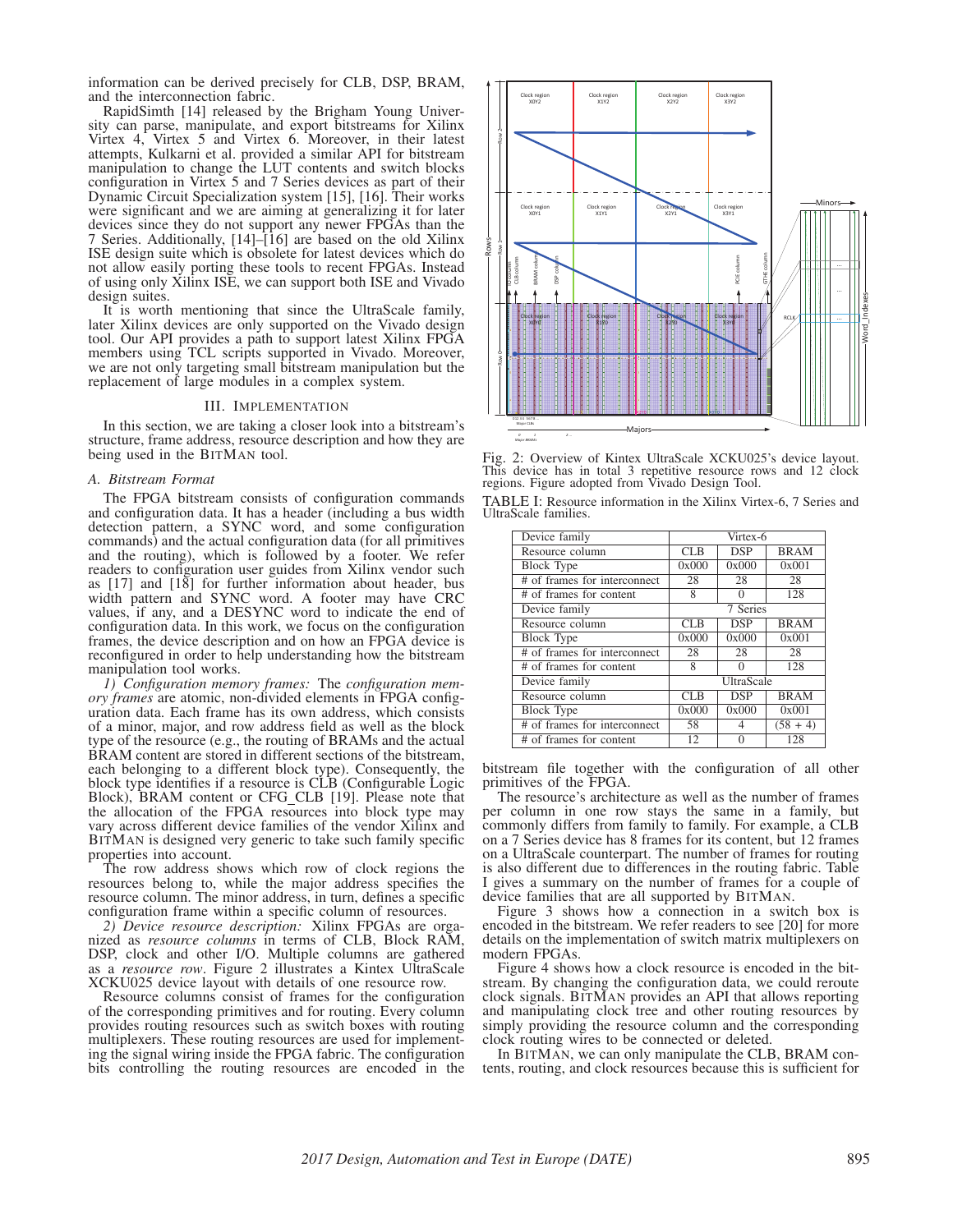information can be derived precisely for CLB, DSP, BRAM, and the interconnection fabric.

RapidSimth [14] released by the Brigham Young University can parse, manipulate, and export bitstreams for Xilinx Virtex 4, Virtex 5 and Virtex 6. Moreover, in their latest attempts, Kulkarni et al. provided a similar API for bitstream manipulation to change the LUT contents and switch blocks configuration in Virtex 5 and 7 Series devices as part of their Dynamic Circuit Specialization system [15], [16]. Their works were significant and we are aiming at generalizing it for later devices since they do not support any newer FPGAs than the 7 Series. Additionally, [14]–[16] are based on the old Xilinx ISE design suite which is obsolete for latest devices which do not allow easily porting these tools to recent FPGAs. Instead of using only Xilinx ISE, we can support both ISE and Vivado design suites.

It is worth mentioning that since the UltraScale family, later Xilinx devices are only supported on the Vivado design tool. Our API provides a path to support latest Xilinx FPGA members using TCL scripts supported in Vivado. Moreover, we are not only targeting small bitstream manipulation but the replacement of large modules in a complex system.

#### III. IMPLEMENTATION

In this section, we are taking a closer look into a bitstream's structure, frame address, resource description and how they are being used in the BITMAN tool.

## *A. Bitstream Format*

The FPGA bitstream consists of configuration commands and configuration data. It has a header (including a bus width detection pattern, a SYNC word, and some configuration commands) and the actual configuration data (for all primitives and the routing), which is followed by a footer. We refer readers to configuration user guides from Xilinx vendor such as [17] and [18] for further information about header, bus width pattern and SYNC word. A footer may have CRC values, if any, and a DESYNC word to indicate the end of configuration data. In this work, we focus on the configuration frames, the device description and on how an FPGA device is reconfigured in order to help understanding how the bitstream manipulation tool works.

*1) Configuration memory frames:* The *configuration memory frames* are atomic, non-divided elements in FPGA configuration data. Each frame has its own address, which consists of a minor, major, and row address field as well as the block type of the resource (e.g., the routing of BRAMs and the actual BRAM content are stored in different sections of the bitstream, each belonging to a different block type). Consequently, the block type identifies if a resource is CLB (Configurable Logic Block), BRAM content or CFG CLB [19]. Please note that the allocation of the FPGA resources into block type may vary across different device families of the vendor Xilinx and BITMAN is designed very generic to take such family specific properties into account.

The row address shows which row of clock regions the resources belong to, while the major address specifies the resource column. The minor address, in turn, defines a specific configuration frame within a specific column of resources.

*2) Device resource description:* Xilinx FPGAs are organized as *resource columns* in terms of CLB, Block RAM, DSP, clock and other I/O. Multiple columns are gathered as a *resource row*. Figure 2 illustrates a Kintex UltraScale XCKU025 device layout with details of one resource row.

Resource columns consist of frames for the configuration of the corresponding primitives and for routing. Every column provides routing resources such as switch boxes with routing multiplexers. These routing resources are used for implementing the signal wiring inside the FPGA fabric. The configuration bits controlling the routing resources are encoded in the



Fig. 2: Overview of Kintex UltraScale XCKU025's device layout. This device has in total 3 repetitive resource rows and 12 clock regions. Figure adopted from Vivado Design Tool.

TABLE I: Resource information in the Xilinx Virtex-6, 7 Series and UltraScale families.

| Device family                | Virtex-6   |            |             |
|------------------------------|------------|------------|-------------|
| Resource column              | <b>CLB</b> | <b>DSP</b> | <b>BRAM</b> |
| <b>Block Type</b>            | 0x000      | 0x000      | 0x001       |
| # of frames for interconnect | 28         | 28         | 28          |
| # of frames for content      | 8          | 0          | 128         |
| Device family                | 7 Series   |            |             |
| Resource column              | CLB        | <b>DSP</b> | <b>BRAM</b> |
| <b>Block Type</b>            | 0x000      | 0x000      | 0x001       |
| # of frames for interconnect | 28         | 28         | 28          |
| # of frames for content      | 8          | 0          | 128         |
| Device family                | UltraScale |            |             |
| Resource column              | CLB        | <b>DSP</b> | <b>BRAM</b> |
| <b>Block Type</b>            | 0x000      | 0x000      | 0x001       |
| # of frames for interconnect | 58         | 4          | $(58 + 4)$  |
| # of frames for content      | 12         | 0          | 128         |

bitstream file together with the configuration of all other primitives of the FPGA.

The resource's architecture as well as the number of frames per column in one row stays the same in a family, but commonly differs from family to family. For example, a CLB on a 7 Series device has 8 frames for its content, but 12 frames on a UltraScale counterpart. The number of frames for routing is also different due to differences in the routing fabric. Table I gives a summary on the number of frames for a couple of device families that are all supported by BITMAN. Figure 3 shows how a connection in a switch box is

encoded in the bitstream. We refer readers to see [20] for more details on the implementation of switch matrix multiplexers on modern FPGAs.

Figure 4 shows how a clock resource is encoded in the bitstream. By changing the configuration data, we could reroute clock signals. BITMAN provides an API that allows reporting and manipulating clock tree and other routing resources by simply providing the resource column and the corresponding clock routing wires to be connected or deleted.

In BITMAN, we can only manipulate the CLB, BRAM contents, routing, and clock resources because this is sufficient for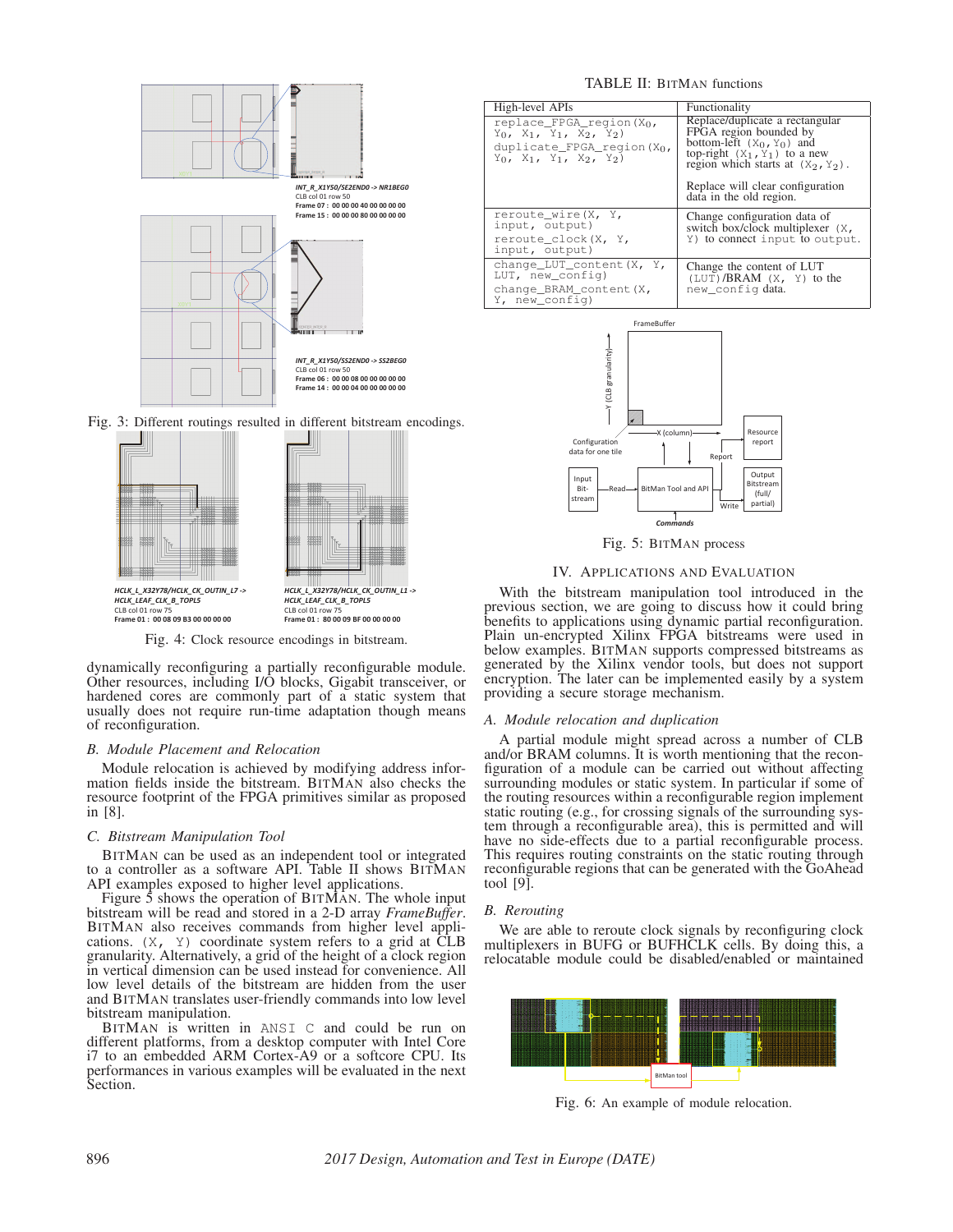

Fig. 3: Different routings resulted in different bitstream encodings.



Fig. 4: Clock resource encodings in bitstream.

dynamically reconfiguring a partially reconfigurable module. Other resources, including I/O blocks, Gigabit transceiver, or hardened cores are commonly part of a static system that usually does not require run-time adaptation though means of reconfiguration.

## *B. Module Placement and Relocation*

Module relocation is achieved by modifying address information fields inside the bitstream. BITMAN also checks the resource footprint of the FPGA primitives similar as proposed in [8].

## *C. Bitstream Manipulation Tool*

BITMAN can be used as an independent tool or integrated to a controller as a software API. Table II shows BITMAN API examples exposed to higher level applications.

Figure  $\bar{5}$  shows the operation of BITMAN. The whole input bitstream will be read and stored in a 2-D array *FrameBuffer*. BITMAN also receives commands from higher level applications.  $(X, Y)$  coordinate system refers to a grid at  $CLB$ granularity. Alternatively, a grid of the height of a clock region in vertical dimension can be used instead for convenience. All low level details of the bitstream are hidden from the user and BITMAN translates user-friendly commands into low level bitstream manipulation.

BITMAN is written in ANSI C and could be run on different platforms, from a desktop computer with Intel Core i7 to an embedded ARM Cortex-A9 or a softcore CPU. Its performances in various examples will be evaluated in the next Section.

## TABLE II: BITMAN functions

| High-level APIs                                                                                                                                 | Functionality                                                                                                                                                         |  |
|-------------------------------------------------------------------------------------------------------------------------------------------------|-----------------------------------------------------------------------------------------------------------------------------------------------------------------------|--|
| replace FPGA region $(X_0,$<br>$Y_0$ , $X_1$ , $Y_1$ , $X_2$ , $Y_2$ )<br>duplicate FPGA region (Xo,<br>$Y_0$ , $X_1$ , $Y_1$ , $X_2$ , $Y_2$ ) | Replace/duplicate a rectangular<br>FPGA region bounded by<br>bottom-left $(X_0, Y_0)$ and<br>top-right $(X_1, Y_1)$ to a new<br>region which starts at $(X_2, Y_2)$ . |  |
|                                                                                                                                                 | Replace will clear configuration<br>data in the old region.                                                                                                           |  |
| reroute wire (X, Y,<br>input, output)                                                                                                           | Change configuration data of<br>switch box/clock multiplexer (X,                                                                                                      |  |
| reroute clock (X, Y,<br>input, output)                                                                                                          | Y) to connect input to output.                                                                                                                                        |  |
| change_LUT_content(X, Y,<br>LUT, new config)                                                                                                    | Change the content of LUT<br>$(LUT)/BRAM$ $(X, Y)$ to the                                                                                                             |  |
| change BRAM content (X,<br>Y, new config)                                                                                                       | new config data.                                                                                                                                                      |  |



Fig. 5: BITMAN process

## IV. APPLICATIONS AND EVALUATION

With the bitstream manipulation tool introduced in the previous section, we are going to discuss how it could bring benefits to applications using dynamic partial reconfiguration. Plain un-encrypted Xilinx FPGA bitstreams were used in below examples. BITMAN supports compressed bitstreams as generated by the Xilinx vendor tools, but does not support encryption. The later can be implemented easily by a system providing a secure storage mechanism.

## *A. Module relocation and duplication*

A partial module might spread across a number of CLB and/or BRAM columns. It is worth mentioning that the reconfiguration of a module can be carried out without affecting surrounding modules or static system. In particular if some of the routing resources within a reconfigurable region implement static routing (e.g., for crossing signals of the surrounding system through a reconfigurable area), this is permitted and will have no side-effects due to a partial reconfigurable process. This requires routing constraints on the static routing through reconfigurable regions that can be generated with the GoAhead tool [9].

### *B. Rerouting*

We are able to reroute clock signals by reconfiguring clock multiplexers in BUFG or BUFHCLK cells. By doing this, a relocatable module could be disabled/enabled or maintained



Fig. 6: An example of module relocation.